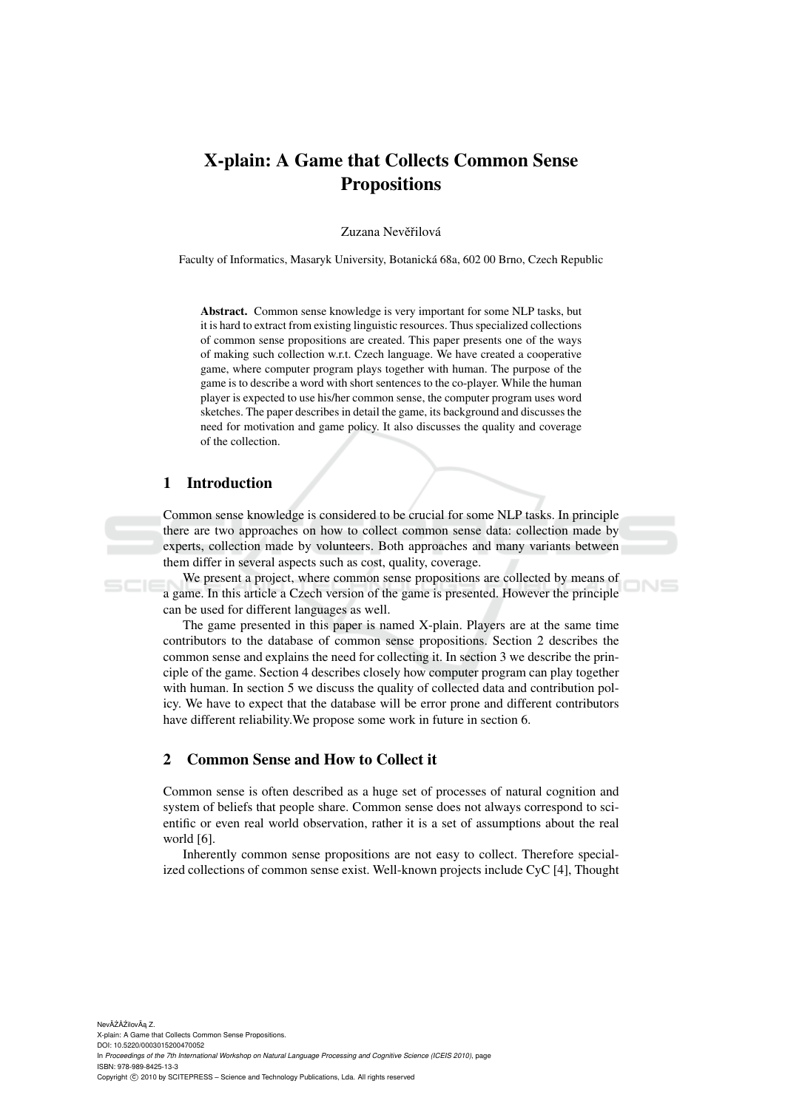# X-plain: A Game that Collects Common Sense **Propositions**

Zuzana Nevěřilová

Faculty of Informatics, Masaryk University, Botanicka 68a, 602 00 Brno, Czech Republic ´

Abstract. Common sense knowledge is very important for some NLP tasks, but it is hard to extract from existing linguistic resources. Thus specialized collections of common sense propositions are created. This paper presents one of the ways of making such collection w.r.t. Czech language. We have created a cooperative game, where computer program plays together with human. The purpose of the game is to describe a word with short sentences to the co-player. While the human player is expected to use his/her common sense, the computer program uses word sketches. The paper describes in detail the game, its background and discusses the need for motivation and game policy. It also discusses the quality and coverage of the collection.

# 1 Introduction

Common sense knowledge is considered to be crucial for some NLP tasks. In principle there are two approaches on how to collect common sense data: collection made by experts, collection made by volunteers. Both approaches and many variants between them differ in several aspects such as cost, quality, coverage.

We present a project, where common sense propositions are collected by means of a game. In this article a Czech version of the game is presented. However the principle can be used for different languages as well.

 $N =$ 

The game presented in this paper is named X-plain. Players are at the same time contributors to the database of common sense propositions. Section 2 describes the common sense and explains the need for collecting it. In section 3 we describe the principle of the game. Section 4 describes closely how computer program can play together with human. In section 5 we discuss the quality of collected data and contribution policy. We have to expect that the database will be error prone and different contributors have different reliability.We propose some work in future in section 6.

# 2 Common Sense and How to Collect it

Common sense is often described as a huge set of processes of natural cognition and system of beliefs that people share. Common sense does not always correspond to scientific or even real world observation, rather it is a set of assumptions about the real world [6].

Inherently common sense propositions are not easy to collect. Therefore specialized collections of common sense exist. Well-known projects include CyC [4], Thought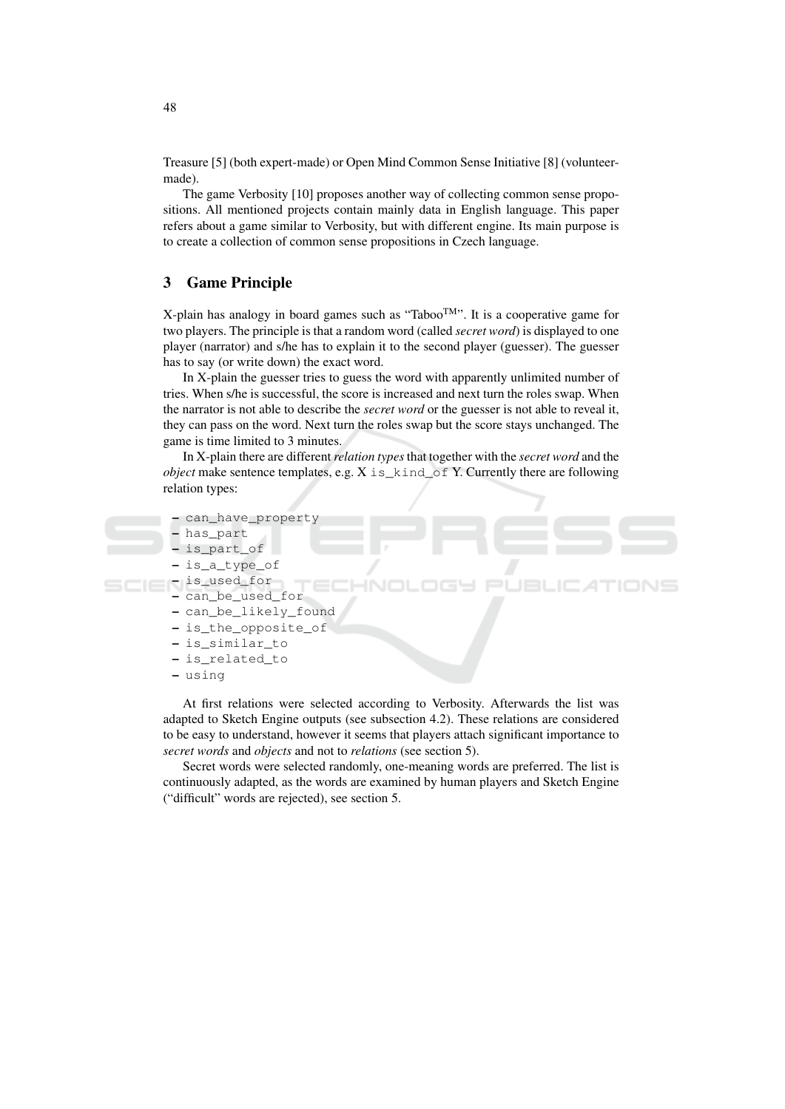Treasure [5] (both expert-made) or Open Mind Common Sense Initiative [8] (volunteermade)

The game Verbosity [10] proposes another way of collecting common sense propositions. All mentioned projects contain mainly data in English language. This paper refers about a game similar to Verbosity, but with different engine. Its main purpose is to create a collection of common sense propositions in Czech language.

#### 3 **Game Principle**

X-plain has analogy in board games such as "Taboo<sup>TM</sup>". It is a cooperative game for two players. The principle is that a random word (called *secret word*) is displayed to one player (narrator) and s/he has to explain it to the second player (guesser). The guesser has to say (or write down) the exact word.

In X-plain the guesser tries to guess the word with apparently unlimited number of tries. When s/he is successful, the score is increased and next turn the roles swap. When the narrator is not able to describe the *secret word* or the guesser is not able to reveal it, they can pass on the word. Next turn the roles swap but the score stays unchanged. The game is time limited to 3 minutes.

In X-plain there are different *relation types* that together with the *secret word* and the *object* make sentence templates, e.g.  $X$  is kind of Y. Currently there are following relation types:

```
- can_have_property
```

```
has part
```

```
- is_part_of
```

```
is_a_type_of
```

```
- is_used_for
```

```
- can_be_used_for
```
- can\_be\_likely\_found
- is the opposite of
- is similar to
- is related to
- using

At first relations were selected according to Verbosity. Afterwards the list was adapted to Sketch Engine outputs (see subsection 4.2). These relations are considered to be easy to understand, however it seems that players attach significant importance to secret words and objects and not to relations (see section 5).

Secret words were selected randomly, one-meaning words are preferred. The list is continuously adapted, as the words are examined by human players and Sketch Engine ("difficult" words are rejected), see section 5.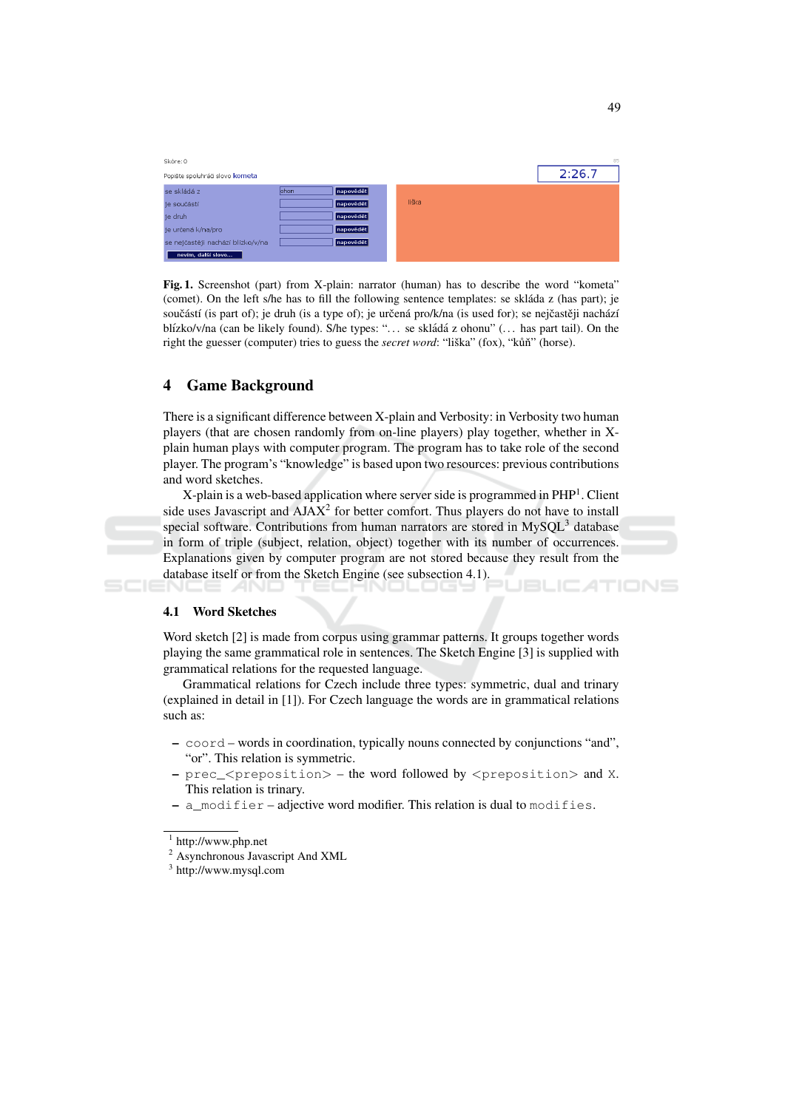| Skóre: 0 |                                   |                    |  |       |  | 8      |
|----------|-----------------------------------|--------------------|--|-------|--|--------|
|          | Popište spoluhráči slovo kometa   |                    |  |       |  | 2:26.7 |
|          | se skládá z                       | lohon<br>napovědět |  |       |  |        |
|          | je součástí                       | napovědět          |  | liška |  |        |
|          | je druh                           | napovědět          |  |       |  |        |
|          | je určená k/na/pro                | napovědět          |  |       |  |        |
|          | se nejčastěji nachází blízko/v/na | napovědět          |  |       |  |        |
|          | nevím, další slovo                |                    |  |       |  |        |

Fig. 1. Screenshot (part) from X-plain: narrator (human) has to describe the word "kometa" (comet). On the left s/he has to fill the following sentence templates: se skláda z (has part); je součástí (is part of); je druh (is a type of); je určená pro/k/na (is used for); se nejčastěji nachází blízko/v/na (can be likely found). S/he types: "... se skládá z ohonu" (... has part tail). On the right the guesser (computer) tries to guess the *secret word*: "liška" (fox), "kůň" (horse).

#### **Game Background**  $\overline{\mathbf{4}}$

There is a significant difference between X-plain and Verbosity: in Verbosity two human players (that are chosen randomly from on-line players) play together, whether in Xplain human plays with computer program. The program has to take role of the second player. The program's "knowledge" is based upon two resources: previous contributions and word sketches.

X-plain is a web-based application where server side is programmed in PHP<sup>1</sup>. Client side uses Javascript and AJAX<sup>2</sup> for better comfort. Thus players do not have to install special software. Contributions from human narrators are stored in MySOL<sup>3</sup> database in form of triple (subject, relation, object) together with its number of occurrences. Explanations given by computer program are not stored because they result from the database itself or from the Sketch Engine (see subsection 4.1). TIONS

## 4.1 Word Sketches

Word sketch [2] is made from corpus using grammar patterns. It groups together words playing the same grammatical role in sentences. The Sketch Engine [3] is supplied with grammatical relations for the requested language.

Grammatical relations for Czech include three types: symmetric, dual and trinary (explained in detail in [1]). For Czech language the words are in grammatical relations such as:

- coord words in coordination, typically nouns connected by conjunctions "and", "or". This relation is symmetric.
- prec\_<preposition> the word followed by <preposition> and X. This relation is trinary.
- a modifier adjective word modifier. This relation is dual to modifies.

 $1$  http://www.php.net

<sup>&</sup>lt;sup>2</sup> Asynchronous Javascript And XML

 $3$  http://www.mysql.com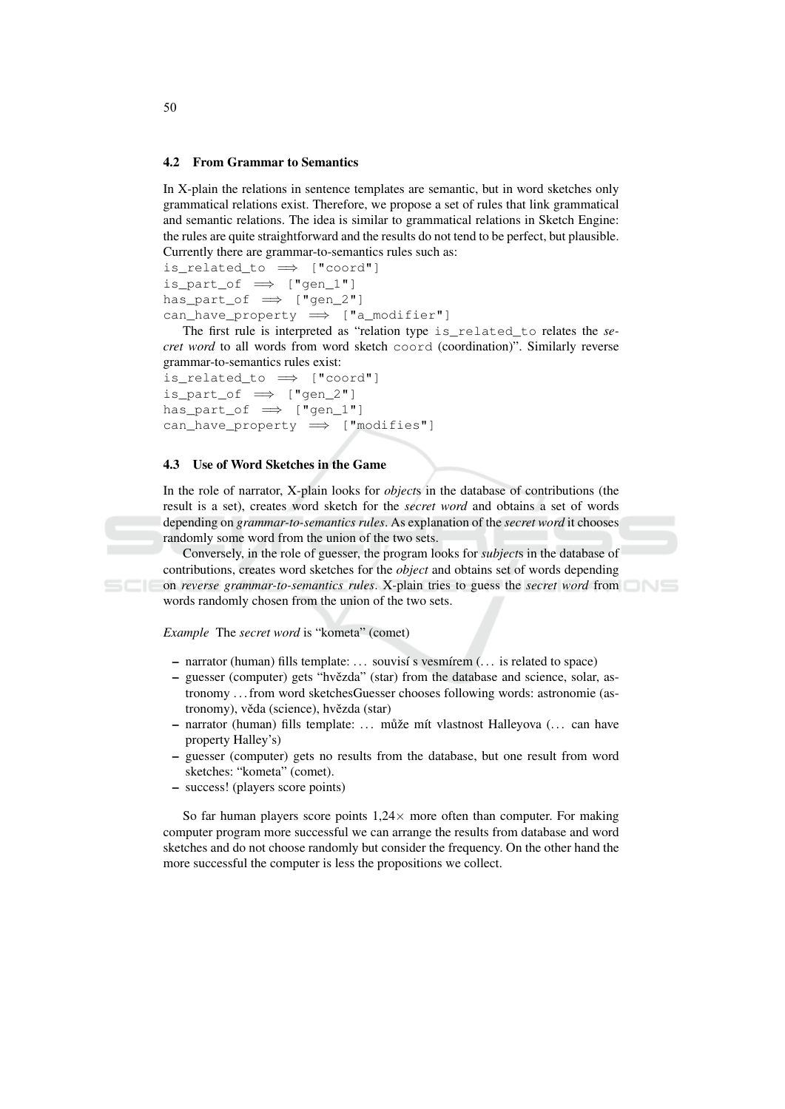### 4.2 From Grammar to Semantics

In X-plain the relations in sentence templates are semantic, but in word sketches only grammatical relations exist. Therefore, we propose a set of rules that link grammatical and semantic relations. The idea is similar to grammatical relations in Sketch Engine: the rules are quite straightforward and the results do not tend to be perfect, but plausible. Currently there are grammar-to-semantics rules such as:

```
is_related_to \implies ["coord"]
is part of \implies ["gen 1"]
has part of \implies ["gen 2"]
can have property \implies ["a modifier"]
```
The first rule is interpreted as "relation type is\_related\_to relates the secret word to all words from word sketch coord (coordination)". Similarly reverse grammar-to-semantics rules exist:

```
is_related_to \implies ["coord"]
is_part_of \implies ["gen_2"]
has_part_of \implies ["gen_1"]
can\_have\_property \implies ["modifies"]
```
### 4.3 Use of Word Sketches in the Game

In the role of narrator, X-plain looks for *objects* in the database of contributions (the result is a set), creates word sketch for the *secret word* and obtains a set of words depending on *grammar-to-semantics rules*. As explanation of the *secret word* it chooses randomly some word from the union of the two sets.

Conversely, in the role of guesser, the program looks for *subjects* in the database of contributions, creates word sketches for the *object* and obtains set of words depending on reverse grammar-to-semantics rules. X-plain tries to guess the secret word from words randomly chosen from the union of the two sets.

Example The secret word is "kometa" (comet)

- narrator (human) fills template: ... souvisí s vesmírem (... is related to space)
- guesser (computer) gets "hvězda" (star) from the database and science, solar, astronomy ... from word sketches Guesser chooses following words: astronomie (astronomy), věda (science), hvězda (star)
- narrator (human) fills template: ... může mít vlastnost Halleyova (... can have property Halley's)
- guesser (computer) gets no results from the database, but one result from word sketches: "kometa" (comet).
- success! (players score points)

So far human players score points  $1.24 \times$  more often than computer. For making computer program more successful we can arrange the results from database and word sketches and do not choose randomly but consider the frequency. On the other hand the more successful the computer is less the propositions we collect.

50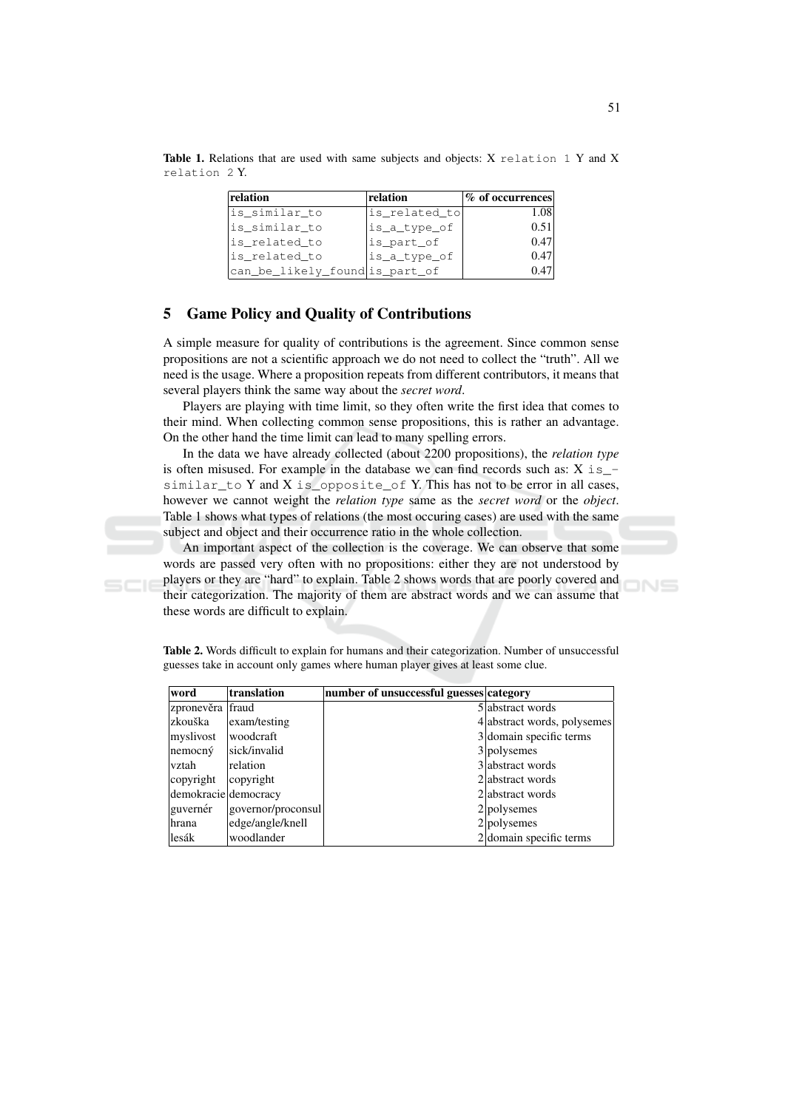| relation                       | relation      | % of occurrences |
|--------------------------------|---------------|------------------|
| is similar to                  | is_related_to | 1.08             |
| is similar to                  | lis_a_type_of | 0.51             |
| is_related_to                  | is part of    | 0.47             |
| is related to                  | is_a_type_of  | 0.47             |
| can_be_likely_found is_part_of |               | 0.47             |

Table 1. Relations that are used with same subjects and objects: X relation 1 Y and X relation 2Y.

### **Game Policy and Quality of Contributions** 5

A simple measure for quality of contributions is the agreement. Since common sense propositions are not a scientific approach we do not need to collect the "truth". All we need is the usage. Where a proposition repeats from different contributors, it means that several players think the same way about the *secret word*.

Players are playing with time limit, so they often write the first idea that comes to their mind. When collecting common sense propositions, this is rather an advantage. On the other hand the time limit can lead to many spelling errors.

In the data we have already collected (about 2200 propositions), the relation type is often misused. For example in the database we can find records such as:  $X$  is similar to Y and X is opposite of Y. This has not to be error in all cases, however we cannot weight the *relation type* same as the *secret word* or the *object*. Table 1 shows what types of relations (the most occuring cases) are used with the same subject and object and their occurrence ratio in the whole collection.

An important aspect of the collection is the coverage. We can observe that some words are passed very often with no propositions: either they are not understood by players or they are "hard" to explain. Table 2 shows words that are poorly covered and their categorization. The majority of them are abstract words and we can assume that these words are difficult to explain.

Table 2. Words difficult to explain for humans and their categorization. Number of unsuccessful guesses take in account only games where human player gives at least some clue.

| word                 | translation        | number of unsuccessful guesses category |                             |
|----------------------|--------------------|-----------------------------------------|-----------------------------|
| zpronevěra fraud     |                    |                                         | 5 abstract words            |
| zkouška              | exam/testing       |                                         | 4 abstract words, polysemes |
| myslivost            | woodcraft          |                                         | 3 domain specific terms     |
| $n$ emocný           | sick/invalid       |                                         | 3 polysemes                 |
| vztah                | relation           |                                         | 3 abstract words            |
| copyright            | copyright          |                                         | 2 abstract words            |
| demokracie democracy |                    |                                         | 2 abstract words            |
| guvernér             | governor/proconsul |                                         | 2 polysemes                 |
| ∣hrana               | edge/angle/knell   |                                         | 2 polysemes                 |
| lesák                | woodlander         |                                         | $2$ domain specific terms   |